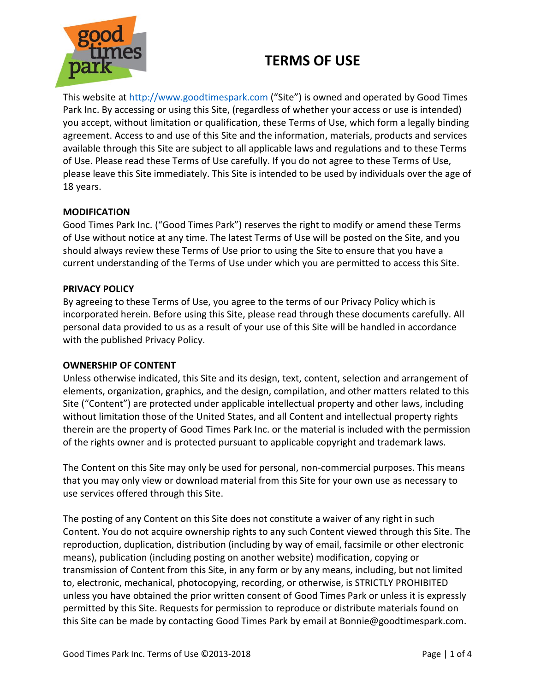

This website at [http://www.goodtimespark.com](http://www.goodtimespark.com/) ("Site") is owned and operated by Good Times Park Inc. By accessing or using this Site, (regardless of whether your access or use is intended) you accept, without limitation or qualification, these Terms of Use, which form a legally binding agreement. Access to and use of this Site and the information, materials, products and services available through this Site are subject to all applicable laws and regulations and to these Terms of Use. Please read these Terms of Use carefully. If you do not agree to these Terms of Use, please leave this Site immediately. This Site is intended to be used by individuals over the age of 18 years.

## **MODIFICATION**

Good Times Park Inc. ("Good Times Park") reserves the right to modify or amend these Terms of Use without notice at any time. The latest Terms of Use will be posted on the Site, and you should always review these Terms of Use prior to using the Site to ensure that you have a current understanding of the Terms of Use under which you are permitted to access this Site.

### **PRIVACY POLICY**

By agreeing to these Terms of Use, you agree to the terms of our Privacy Policy which is incorporated herein. Before using this Site, please read through these documents carefully. All personal data provided to us as a result of your use of this Site will be handled in accordance with the published Privacy Policy.

### **OWNERSHIP OF CONTENT**

Unless otherwise indicated, this Site and its design, text, content, selection and arrangement of elements, organization, graphics, and the design, compilation, and other matters related to this Site ("Content") are protected under applicable intellectual property and other laws, including without limitation those of the United States, and all Content and intellectual property rights therein are the property of Good Times Park Inc. or the material is included with the permission of the rights owner and is protected pursuant to applicable copyright and trademark laws.

The Content on this Site may only be used for personal, non-commercial purposes. This means that you may only view or download material from this Site for your own use as necessary to use services offered through this Site.

The posting of any Content on this Site does not constitute a waiver of any right in such Content. You do not acquire ownership rights to any such Content viewed through this Site. The reproduction, duplication, distribution (including by way of email, facsimile or other electronic means), publication (including posting on another website) modification, copying or transmission of Content from this Site, in any form or by any means, including, but not limited to, electronic, mechanical, photocopying, recording, or otherwise, is STRICTLY PROHIBITED unless you have obtained the prior written consent of Good Times Park or unless it is expressly permitted by this Site. Requests for permission to reproduce or distribute materials found on this Site can be made by contacting Good Times Park by email at Bonnie@goodtimespark.com.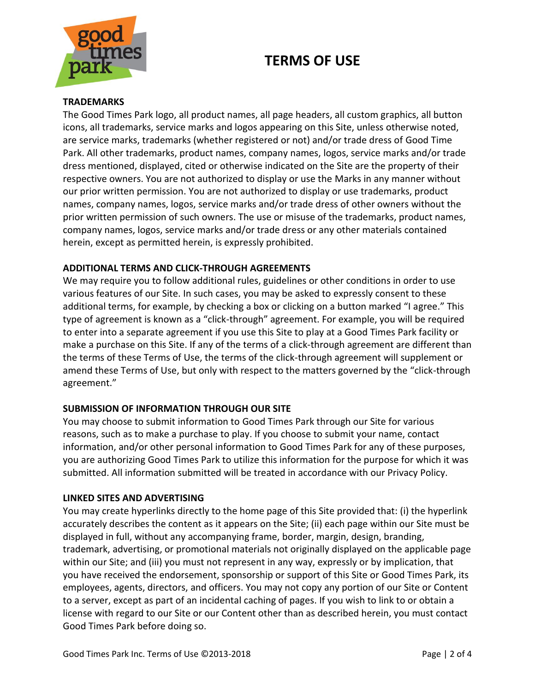

#### **TRADEMARKS**

The Good Times Park logo, all product names, all page headers, all custom graphics, all button icons, all trademarks, service marks and logos appearing on this Site, unless otherwise noted, are service marks, trademarks (whether registered or not) and/or trade dress of Good Time Park. All other trademarks, product names, company names, logos, service marks and/or trade dress mentioned, displayed, cited or otherwise indicated on the Site are the property of their respective owners. You are not authorized to display or use the Marks in any manner without our prior written permission. You are not authorized to display or use trademarks, product names, company names, logos, service marks and/or trade dress of other owners without the prior written permission of such owners. The use or misuse of the trademarks, product names, company names, logos, service marks and/or trade dress or any other materials contained herein, except as permitted herein, is expressly prohibited.

### **ADDITIONAL TERMS AND CLICK-THROUGH AGREEMENTS**

We may require you to follow additional rules, guidelines or other conditions in order to use various features of our Site. In such cases, you may be asked to expressly consent to these additional terms, for example, by checking a box or clicking on a button marked "I agree." This type of agreement is known as a "click-through" agreement. For example, you will be required to enter into a separate agreement if you use this Site to play at a Good Times Park facility or make a purchase on this Site. If any of the terms of a click-through agreement are different than the terms of these Terms of Use, the terms of the click-through agreement will supplement or amend these Terms of Use, but only with respect to the matters governed by the "click-through agreement."

### **SUBMISSION OF INFORMATION THROUGH OUR SITE**

You may choose to submit information to Good Times Park through our Site for various reasons, such as to make a purchase to play. If you choose to submit your name, contact information, and/or other personal information to Good Times Park for any of these purposes, you are authorizing Good Times Park to utilize this information for the purpose for which it was submitted. All information submitted will be treated in accordance with our Privacy Policy.

#### **LINKED SITES AND ADVERTISING**

You may create hyperlinks directly to the home page of this Site provided that: (i) the hyperlink accurately describes the content as it appears on the Site; (ii) each page within our Site must be displayed in full, without any accompanying frame, border, margin, design, branding, trademark, advertising, or promotional materials not originally displayed on the applicable page within our Site; and (iii) you must not represent in any way, expressly or by implication, that you have received the endorsement, sponsorship or support of this Site or Good Times Park, its employees, agents, directors, and officers. You may not copy any portion of our Site or Content to a server, except as part of an incidental caching of pages. If you wish to link to or obtain a license with regard to our Site or our Content other than as described herein, you must contact Good Times Park before doing so.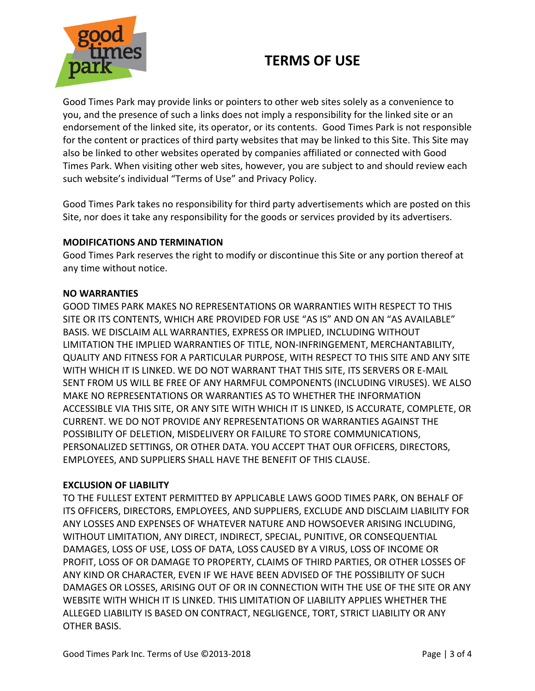

Good Times Park may provide links or pointers to other web sites solely as a convenience to you, and the presence of such a links does not imply a responsibility for the linked site or an endorsement of the linked site, its operator, or its contents. Good Times Park is not responsible for the content or practices of third party websites that may be linked to this Site. This Site may also be linked to other websites operated by companies affiliated or connected with Good Times Park. When visiting other web sites, however, you are subject to and should review each such website's individual "Terms of Use" and Privacy Policy.

Good Times Park takes no responsibility for third party advertisements which are posted on this Site, nor does it take any responsibility for the goods or services provided by its advertisers.

## **MODIFICATIONS AND TERMINATION**

Good Times Park reserves the right to modify or discontinue this Site or any portion thereof at any time without notice.

### **NO WARRANTIES**

GOOD TIMES PARK MAKES NO REPRESENTATIONS OR WARRANTIES WITH RESPECT TO THIS SITE OR ITS CONTENTS, WHICH ARE PROVIDED FOR USE "AS IS" AND ON AN "AS AVAILABLE" BASIS. WE DISCLAIM ALL WARRANTIES, EXPRESS OR IMPLIED, INCLUDING WITHOUT LIMITATION THE IMPLIED WARRANTIES OF TITLE, NON-INFRINGEMENT, MERCHANTABILITY, QUALITY AND FITNESS FOR A PARTICULAR PURPOSE, WITH RESPECT TO THIS SITE AND ANY SITE WITH WHICH IT IS LINKED. WE DO NOT WARRANT THAT THIS SITE, ITS SERVERS OR E-MAIL SENT FROM US WILL BE FREE OF ANY HARMFUL COMPONENTS (INCLUDING VIRUSES). WE ALSO MAKE NO REPRESENTATIONS OR WARRANTIES AS TO WHETHER THE INFORMATION ACCESSIBLE VIA THIS SITE, OR ANY SITE WITH WHICH IT IS LINKED, IS ACCURATE, COMPLETE, OR CURRENT. WE DO NOT PROVIDE ANY REPRESENTATIONS OR WARRANTIES AGAINST THE POSSIBILITY OF DELETION, MISDELIVERY OR FAILURE TO STORE COMMUNICATIONS, PERSONALIZED SETTINGS, OR OTHER DATA. YOU ACCEPT THAT OUR OFFICERS, DIRECTORS, EMPLOYEES, AND SUPPLIERS SHALL HAVE THE BENEFIT OF THIS CLAUSE.

### **EXCLUSION OF LIABILITY**

TO THE FULLEST EXTENT PERMITTED BY APPLICABLE LAWS GOOD TIMES PARK, ON BEHALF OF ITS OFFICERS, DIRECTORS, EMPLOYEES, AND SUPPLIERS, EXCLUDE AND DISCLAIM LIABILITY FOR ANY LOSSES AND EXPENSES OF WHATEVER NATURE AND HOWSOEVER ARISING INCLUDING, WITHOUT LIMITATION, ANY DIRECT, INDIRECT, SPECIAL, PUNITIVE, OR CONSEQUENTIAL DAMAGES, LOSS OF USE, LOSS OF DATA, LOSS CAUSED BY A VIRUS, LOSS OF INCOME OR PROFIT, LOSS OF OR DAMAGE TO PROPERTY, CLAIMS OF THIRD PARTIES, OR OTHER LOSSES OF ANY KIND OR CHARACTER, EVEN IF WE HAVE BEEN ADVISED OF THE POSSIBILITY OF SUCH DAMAGES OR LOSSES, ARISING OUT OF OR IN CONNECTION WITH THE USE OF THE SITE OR ANY WEBSITE WITH WHICH IT IS LINKED. THIS LIMITATION OF LIABILITY APPLIES WHETHER THE ALLEGED LIABILITY IS BASED ON CONTRACT, NEGLIGENCE, TORT, STRICT LIABILITY OR ANY OTHER BASIS.